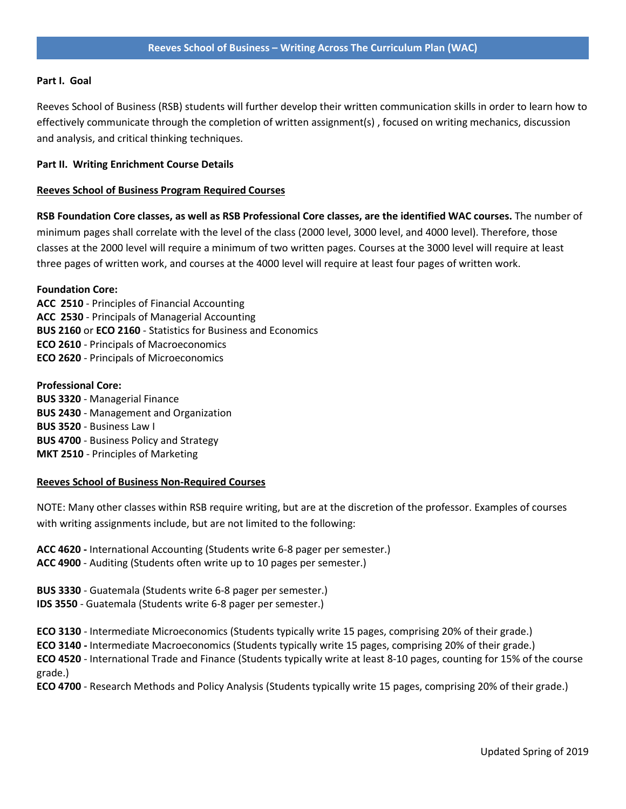# **Part I. Goal**

Reeves School of Business (RSB) students will further develop their written communication skills in order to learn how to effectively communicate through the completion of written assignment(s) , focused on writing mechanics, discussion and analysis, and critical thinking techniques.

# **Part II. Writing Enrichment Course Details**

# **Reeves School of Business Program Required Courses**

**RSB Foundation Core classes, as well as RSB Professional Core classes, are the identified WAC courses.** The number of minimum pages shall correlate with the level of the class (2000 level, 3000 level, and 4000 level). Therefore, those classes at the 2000 level will require a minimum of two written pages. Courses at the 3000 level will require at least three pages of written work, and courses at the 4000 level will require at least four pages of written work.

#### **Foundation Core:**

**ACC 2510** - Principles of Financial Accounting **ACC 2530** - Principals of Managerial Accounting **BUS 2160** or **ECO 2160** - Statistics for Business and Economics **ECO 2610** - Principals of Macroeconomics **ECO 2620** - Principals of Microeconomics

#### **Professional Core:**

**BUS 3320** - Managerial Finance **BUS 2430** - Management and Organization **BUS 3520** - Business Law I **BUS 4700** - Business Policy and Strategy **MKT 2510** - Principles of Marketing

# **Reeves School of Business Non-Required Courses**

NOTE: Many other classes within RSB require writing, but are at the discretion of the professor. Examples of courses with writing assignments include, but are not limited to the following:

**ACC 4620 -** International Accounting (Students write 6-8 pager per semester.) **ACC 4900** - Auditing (Students often write up to 10 pages per semester.)

**BUS 3330** - Guatemala (Students write 6-8 pager per semester.) **IDS 3550** - Guatemala (Students write 6-8 pager per semester.)

**ECO 3130** - Intermediate Microeconomics (Students typically write 15 pages, comprising 20% of their grade.)

**ECO 3140 -** Intermediate Macroeconomics (Students typically write 15 pages, comprising 20% of their grade.)

**ECO 4520** - International Trade and Finance (Students typically write at least 8-10 pages, counting for 15% of the course grade.)

**ECO 4700** - Research Methods and Policy Analysis (Students typically write 15 pages, comprising 20% of their grade.)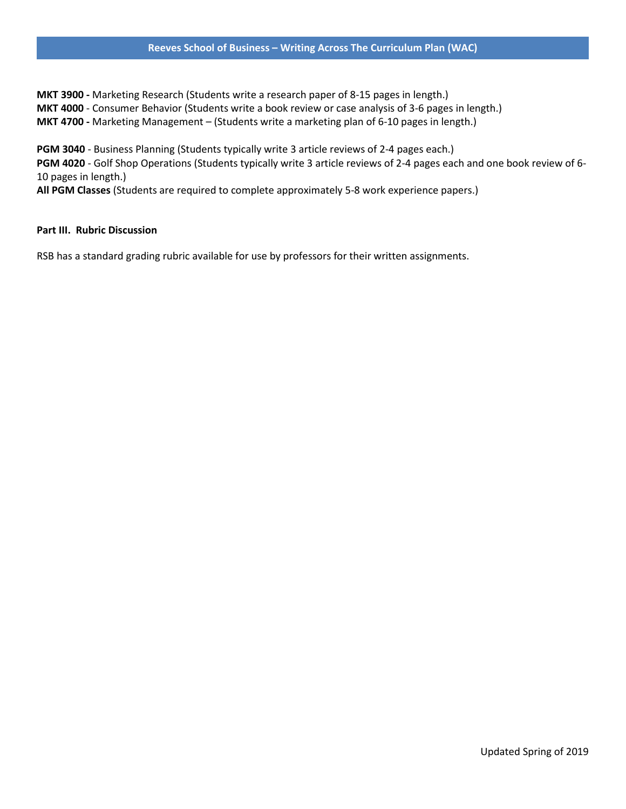# **Reeves School of Business – Writing Across The Curriculum Plan (WAC)**

**MKT 3900 -** Marketing Research (Students write a research paper of 8-15 pages in length.) **MKT 4000** - Consumer Behavior (Students write a book review or case analysis of 3-6 pages in length.) **MKT 4700 -** Marketing Management – (Students write a marketing plan of 6-10 pages in length.)

**PGM 3040** - Business Planning (Students typically write 3 article reviews of 2-4 pages each.) **PGM 4020** - Golf Shop Operations (Students typically write 3 article reviews of 2-4 pages each and one book review of 6- 10 pages in length.)

**All PGM Classes** (Students are required to complete approximately 5-8 work experience papers.)

# **Part III. Rubric Discussion**

RSB has a standard grading rubric available for use by professors for their written assignments.